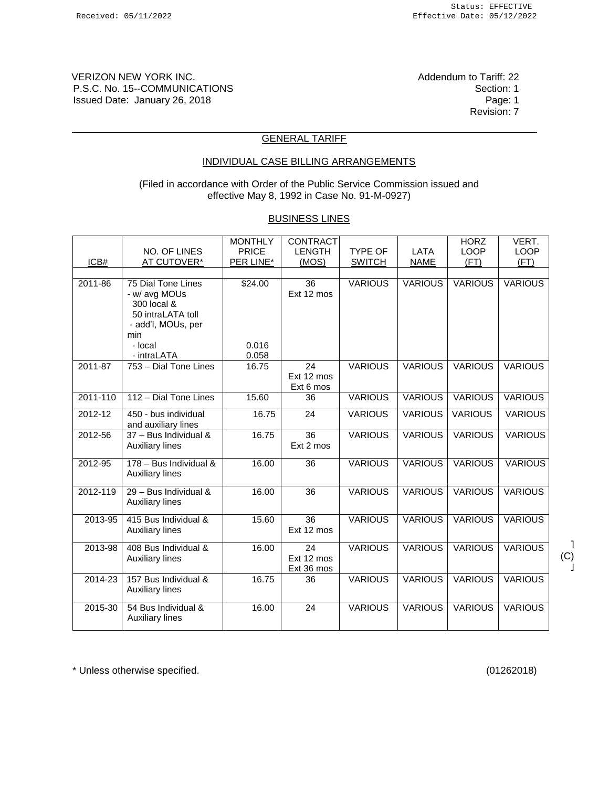VERIZON NEW YORK INC. The Contract of Tariff: 22 Addendum to Tariff: 22 P.S.C. No. 15--COMMUNICATIONS<br>
Issued Date: January 26, 2018 Issued Date: January 26, 2018

Revision: 7

### GENERAL TARIFF

# INDIVIDUAL CASE BILLING ARRANGEMENTS

(Filed in accordance with Order of the Public Service Commission issued and effective May 8, 1992 in Case No. 91-M-0927)

### BUSINESS LINES

|             | NO. OF LINES                                                                                                    | <b>MONTHLY</b><br><b>PRICE</b> | <b>CONTRACT</b><br><b>LENGTH</b> | <b>TYPE OF</b> | LATA           | <b>HORZ</b><br><b>LOOP</b> | VERT.<br><b>LOOP</b> |
|-------------|-----------------------------------------------------------------------------------------------------------------|--------------------------------|----------------------------------|----------------|----------------|----------------------------|----------------------|
| ICB#        | <b>AT CUTOVER*</b>                                                                                              | PER LINE*                      | (MOS)                            | <b>SWITCH</b>  | <b>NAME</b>    | (FT)                       | (FT)                 |
|             |                                                                                                                 |                                |                                  |                |                |                            |                      |
| $2011 - 86$ | 75 Dial Tone Lines<br>- w/ avg MOUs<br>300 local &<br>50 intraLATA toll<br>- add'l, MOUs, per<br>min<br>- local | \$24.00<br>0.016               | 36<br>Ext 12 mos                 | <b>VARIOUS</b> | <b>VARIOUS</b> | <b>VARIOUS</b>             | <b>VARIOUS</b>       |
|             | - intraLATA                                                                                                     | 0.058                          |                                  |                |                |                            |                      |
| 2011-87     | 753 - Dial Tone Lines                                                                                           | 16.75                          | 24<br>Ext 12 mos<br>Ext 6 mos    | <b>VARIOUS</b> | <b>VARIOUS</b> | <b>VARIOUS</b>             | <b>VARIOUS</b>       |
| 2011-110    | 112 - Dial Tone Lines                                                                                           | 15.60                          | 36                               | <b>VARIOUS</b> | <b>VARIOUS</b> | <b>VARIOUS</b>             | <b>VARIOUS</b>       |
| 2012-12     | 450 - bus individual<br>and auxiliary lines                                                                     | 16.75                          | 24                               | <b>VARIOUS</b> | <b>VARIOUS</b> | <b>VARIOUS</b>             | <b>VARIOUS</b>       |
| 2012-56     | 37 - Bus Individual &<br><b>Auxiliary lines</b>                                                                 | 16.75                          | 36<br>Ext 2 mos                  | <b>VARIOUS</b> | <b>VARIOUS</b> | <b>VARIOUS</b>             | <b>VARIOUS</b>       |
| $2012 - 95$ | 178 - Bus Individual &<br><b>Auxiliary lines</b>                                                                | 16.00                          | 36                               | <b>VARIOUS</b> | <b>VARIOUS</b> | <b>VARIOUS</b>             | <b>VARIOUS</b>       |
| 2012-119    | $29 - Bus$ Individual &<br><b>Auxiliary lines</b>                                                               | 16.00                          | 36                               | <b>VARIOUS</b> | <b>VARIOUS</b> | <b>VARIOUS</b>             | <b>VARIOUS</b>       |
| 2013-95     | 415 Bus Individual &<br><b>Auxiliary lines</b>                                                                  | 15.60                          | 36<br>Ext 12 mos                 | <b>VARIOUS</b> | <b>VARIOUS</b> | <b>VARIOUS</b>             | <b>VARIOUS</b>       |
| 2013-98     | 408 Bus Individual &<br><b>Auxiliary lines</b>                                                                  | 16.00                          | 24<br>Ext 12 mos<br>Ext 36 mos   | <b>VARIOUS</b> | <b>VARIOUS</b> | <b>VARIOUS</b>             | <b>VARIOUS</b>       |
| 2014-23     | 157 Bus Individual &<br><b>Auxiliary lines</b>                                                                  | 16.75                          | 36                               | <b>VARIOUS</b> | <b>VARIOUS</b> | <b>VARIOUS</b>             | <b>VARIOUS</b>       |
| 2015-30     | 54 Bus Individual &<br><b>Auxiliary lines</b>                                                                   | 16.00                          | 24                               | <b>VARIOUS</b> | <b>VARIOUS</b> | <b>VARIOUS</b>             | <b>VARIOUS</b>       |

\* Unless otherwise specified. (01262018)

˥ (C)  $\frac{1}{2}$